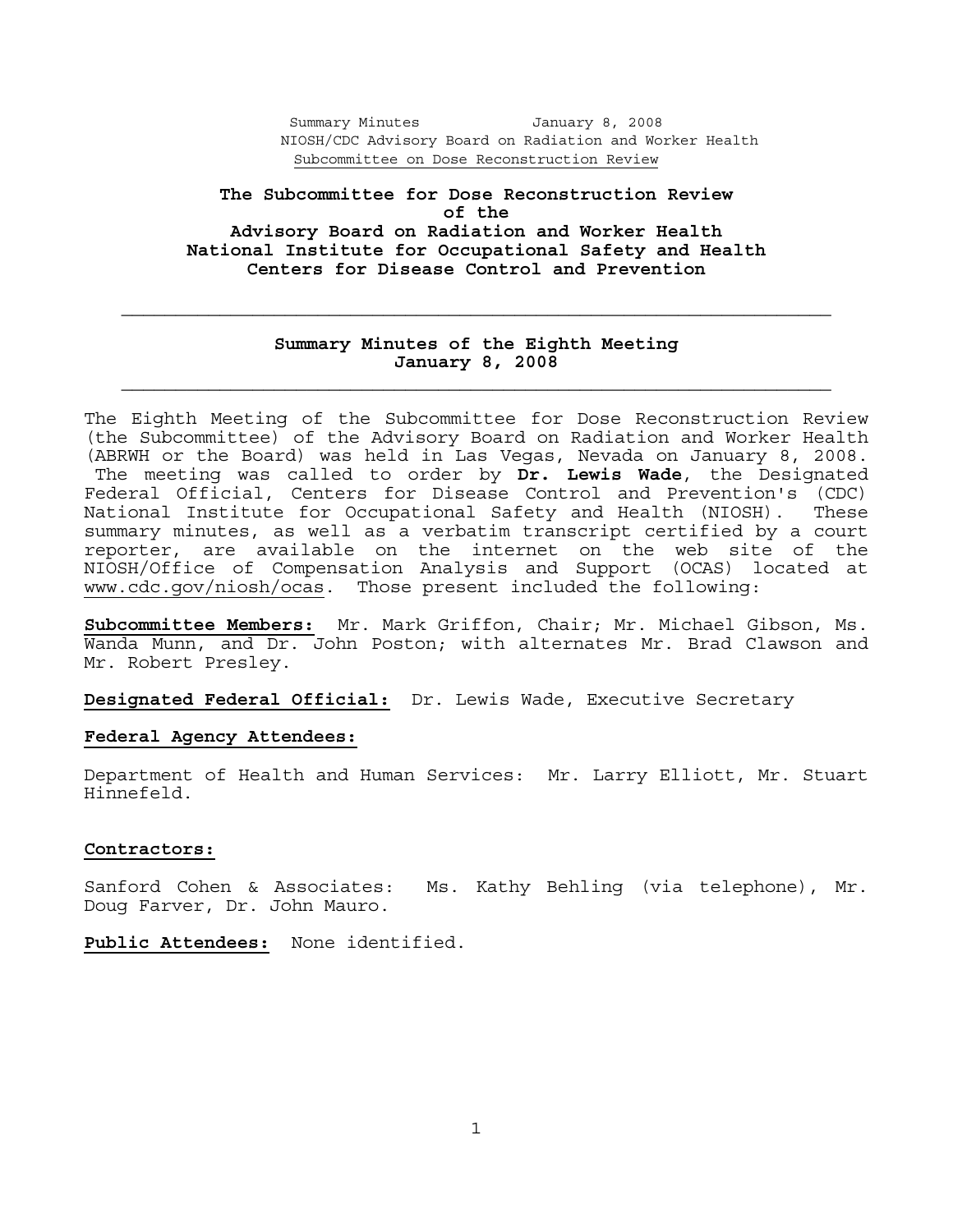**The Subcommittee for Dose Reconstruction Review of the Advisory Board on Radiation and Worker Health National Institute for Occupational Safety and Health Centers for Disease Control and Prevention** 

# **Summary Minutes of the Eighth Meeting January 8, 2008**

The Eighth Meeting of the Subcommittee for Dose Reconstruction Review (the Subcommittee) of the Advisory Board on Radiation and Worker Health (ABRWH or the Board) was held in Las Vegas, Nevada on January 8, 2008. The meeting was called to order by **Dr. Lewis Wade**, the Designated Federal Official, Centers for Disease Control and Prevention's (CDC) National Institute for Occupational Safety and Health (NIOSH). These summary minutes, as well as a verbatim transcript certified by a court reporter, are available on the internet on the web site of the NIOSH/Office of Compensation Analysis and Support (OCAS) located at www.cdc.gov/niosh/ocas. Those present included the following:

**Subcommittee Members:** Mr. Mark Griffon, Chair; Mr. Michael Gibson, Ms. Wanda Munn, and Dr. John Poston; with alternates Mr. Brad Clawson and Mr. Robert Presley.

**Designated Federal Official:** Dr. Lewis Wade, Executive Secretary

## **Federal Agency Attendees:**

Department of Health and Human Services: Mr. Larry Elliott, Mr. Stuart Hinnefeld.

#### **Contractors:**

Sanford Cohen & Associates: Ms. Kathy Behling (via telephone), Mr. Doug Farver, Dr. John Mauro.

**Public Attendees:** None identified.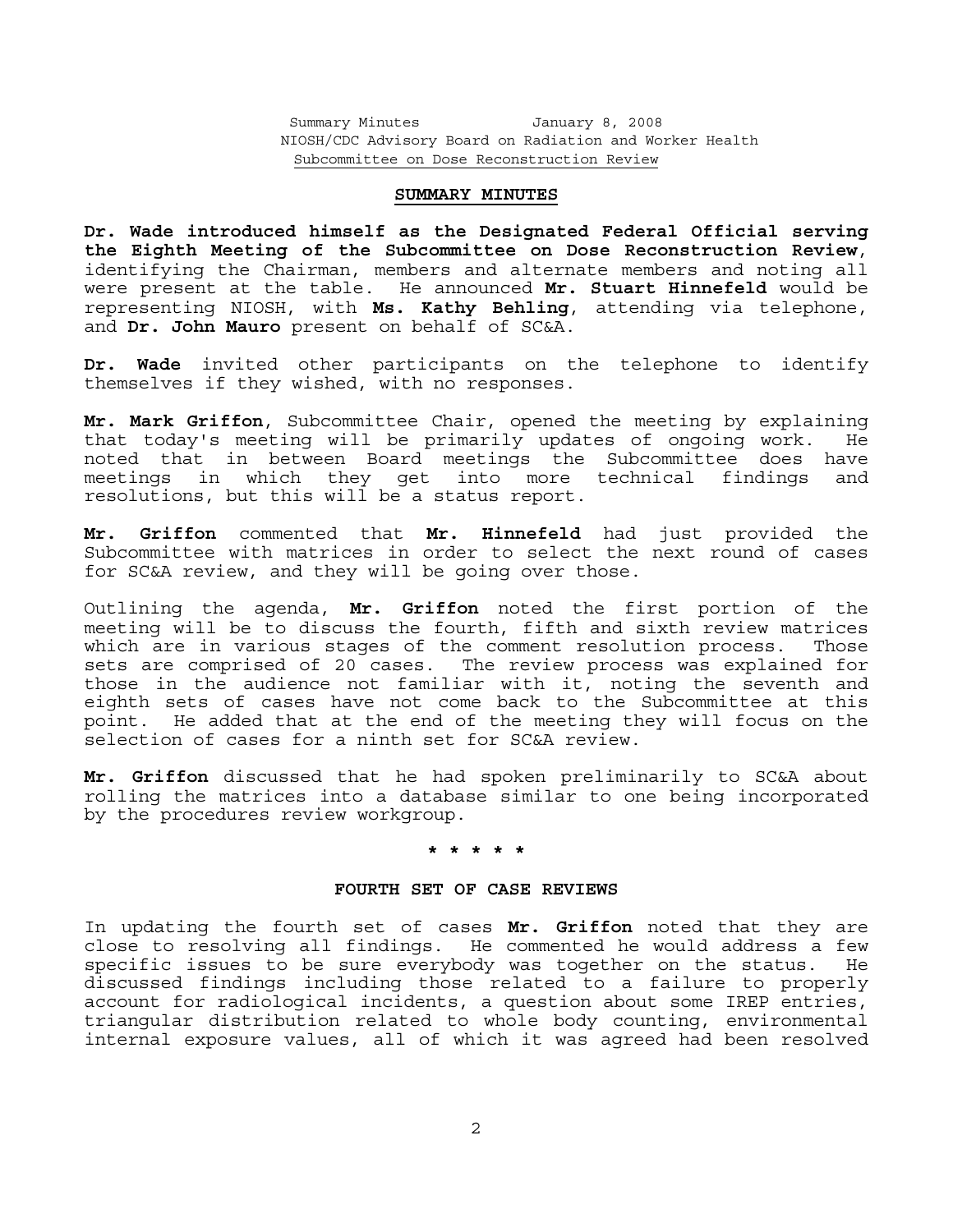#### **SUMMARY MINUTES**

**Dr. Wade introduced himself as the Designated Federal Official serving the Eighth Meeting of the Subcommittee on Dose Reconstruction Review**, identifying the Chairman, members and alternate members and noting all were present at the table. He announced **Mr. Stuart Hinnefeld** would be representing NIOSH, with **Ms. Kathy Behling**, attending via telephone, and **Dr. John Mauro** present on behalf of SC&A.

**Dr. Wade** invited other participants on the telephone to identify themselves if they wished, with no responses.

**Mr. Mark Griffon**, Subcommittee Chair, opened the meeting by explaining that today's meeting will be primarily updates of ongoing work. He noted that in between Board meetings the Subcommittee does have meetings in which they get into more technical findings and resolutions, but this will be a status report.

**Mr. Griffon** commented that **Mr. Hinnefeld** had just provided the Subcommittee with matrices in order to select the next round of cases for SC&A review, and they will be going over those.

Outlining the agenda, **Mr. Griffon** noted the first portion of the meeting will be to discuss the fourth, fifth and sixth review matrices which are in various stages of the comment resolution process. Those sets are comprised of 20 cases. The review process was explained for those in the audience not familiar with it, noting the seventh and eighth sets of cases have not come back to the Subcommittee at this point. He added that at the end of the meeting they will focus on the selection of cases for a ninth set for SC&A review.

**Mr. Griffon** discussed that he had spoken preliminarily to SC&A about rolling the matrices into a database similar to one being incorporated by the procedures review workgroup.

### **\* \* \* \* \***

### **FOURTH SET OF CASE REVIEWS**

In updating the fourth set of cases **Mr. Griffon** noted that they are close to resolving all findings. He commented he would address a few specific issues to be sure everybody was together on the status. He discussed findings including those related to a failure to properly account for radiological incidents, a question about some IREP entries, triangular distribution related to whole body counting, environmental internal exposure values, all of which it was agreed had been resolved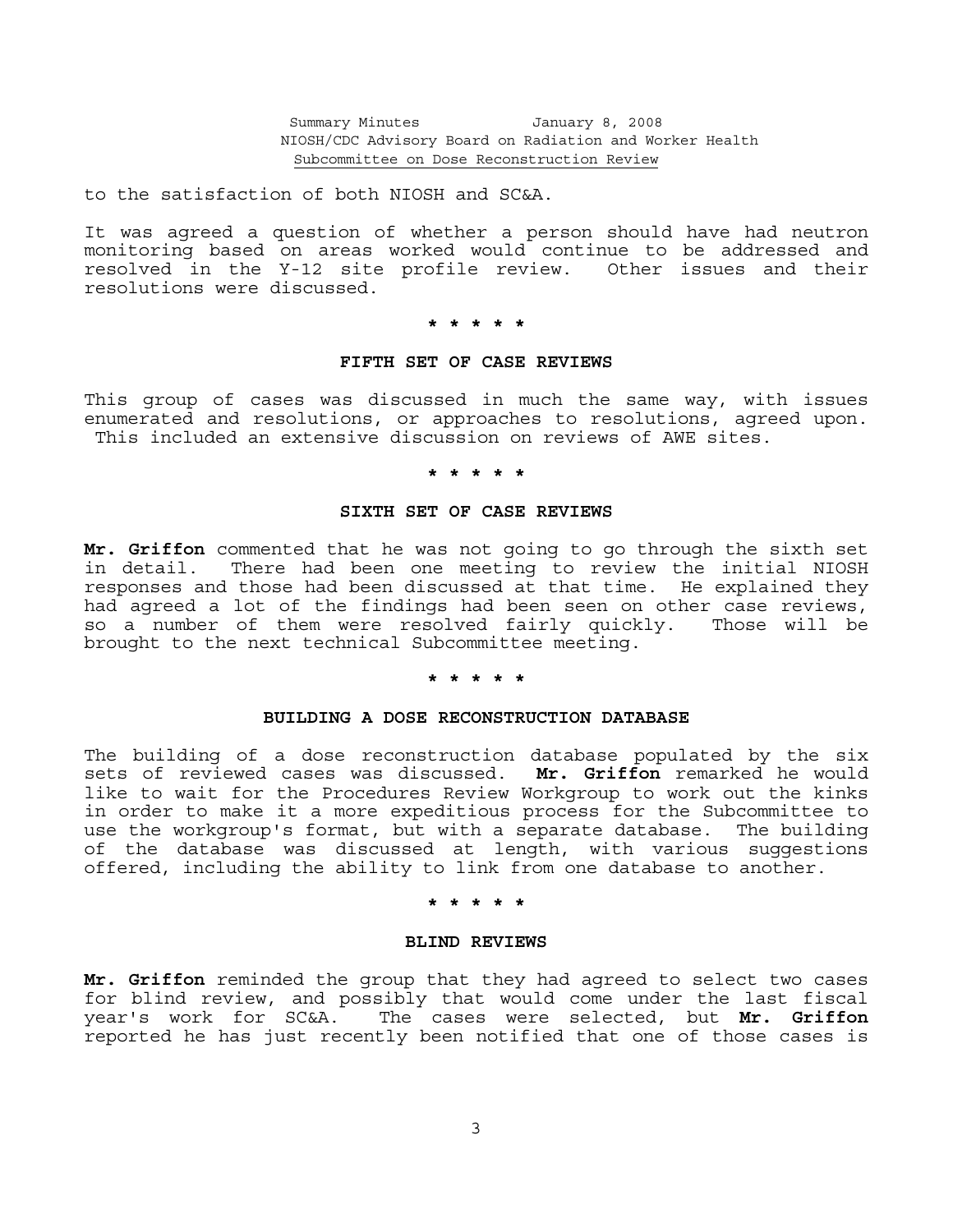to the satisfaction of both NIOSH and SC&A.

It was agreed a question of whether a person should have had neutron monitoring based on areas worked would continue to be addressed and resolved in the Y-12 site profile review. Other issues and their resolutions were discussed.

# **\* \* \* \* \***

#### **FIFTH SET OF CASE REVIEWS**

This group of cases was discussed in much the same way, with issues enumerated and resolutions, or approaches to resolutions, agreed upon. This included an extensive discussion on reviews of AWE sites.

### **\* \* \* \* \***

### **SIXTH SET OF CASE REVIEWS**

**Mr. Griffon** commented that he was not going to go through the sixth set in detail. There had been one meeting to review the initial NIOSH responses and those had been discussed at that time. He explained they had agreed a lot of the findings had been seen on other case reviews, so a number of them were resolved fairly quickly. Those will be brought to the next technical Subcommittee meeting.

### **\* \* \* \* \***

### **BUILDING A DOSE RECONSTRUCTION DATABASE**

The building of a dose reconstruction database populated by the six sets of reviewed cases was discussed. **Mr. Griffon** remarked he would like to wait for the Procedures Review Workgroup to work out the kinks in order to make it a more expeditious process for the Subcommittee to use the workgroup's format, but with a separate database. The building of the database was discussed at length, with various suggestions offered, including the ability to link from one database to another.

#### **\* \* \* \* \***

### **BLIND REVIEWS**

**Mr. Griffon** reminded the group that they had agreed to select two cases for blind review, and possibly that would come under the last fiscal year's work for SC&A. The cases were selected, but **Mr. Griffon** reported he has just recently been notified that one of those cases is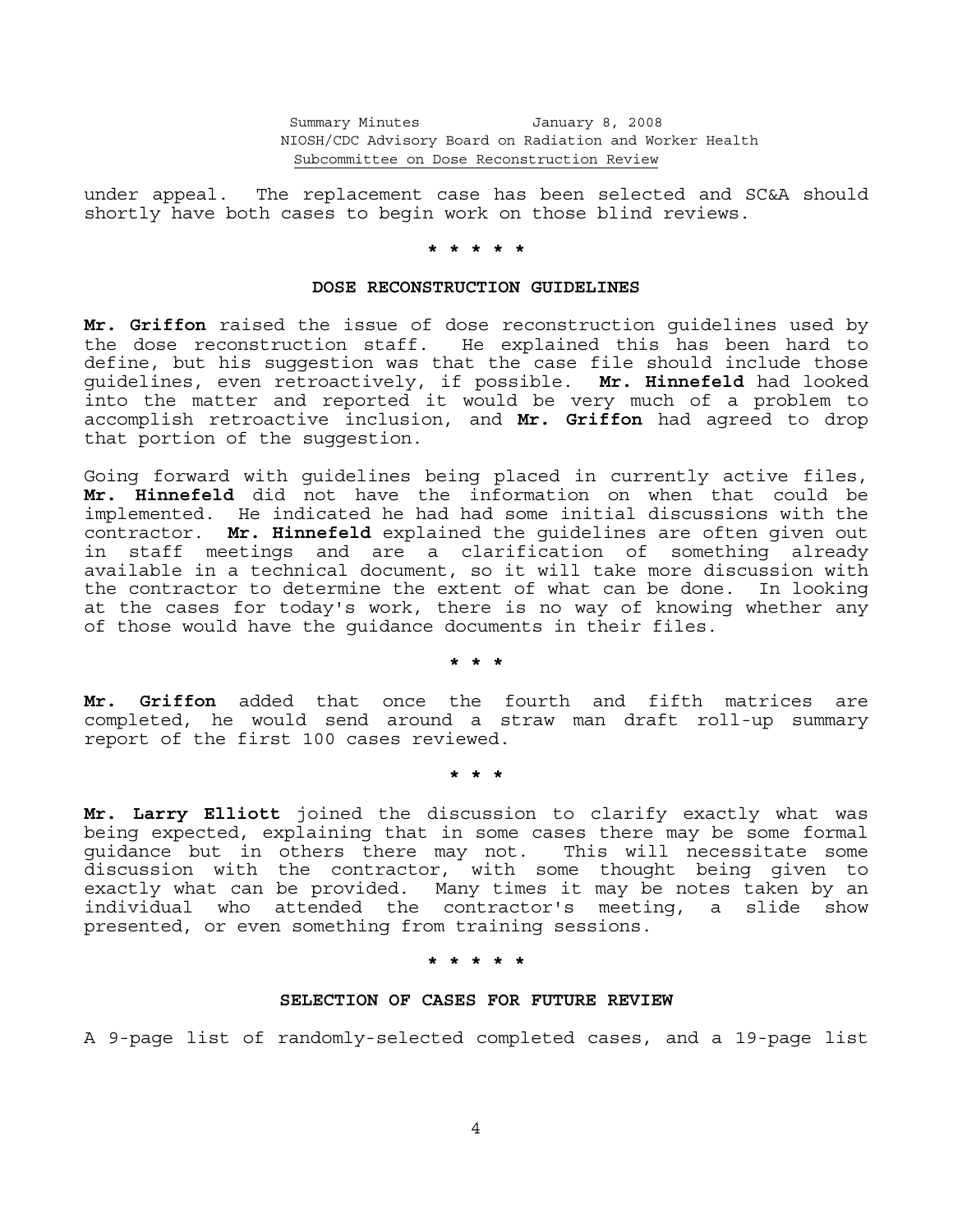under appeal. The replacement case has been selected and SC&A should shortly have both cases to begin work on those blind reviews.

### **\* \* \* \* \***

#### **DOSE RECONSTRUCTION GUIDELINES**

**Mr. Griffon** raised the issue of dose reconstruction guidelines used by the dose reconstruction staff. He explained this has been hard to define, but his suggestion was that the case file should include those guidelines, even retroactively, if possible. **Mr. Hinnefeld** had looked into the matter and reported it would be very much of a problem to accomplish retroactive inclusion, and **Mr. Griffon** had agreed to drop that portion of the suggestion.

Going forward with guidelines being placed in currently active files, **Mr. Hinnefeld** did not have the information on when that could be implemented. He indicated he had had some initial discussions with the contractor. **Mr. Hinnefeld** explained the guidelines are often given out in staff meetings and are a clarification of something already available in a technical document, so it will take more discussion with the contractor to determine the extent of what can be done. In looking at the cases for today's work, there is no way of knowing whether any of those would have the guidance documents in their files.

 **\* \* \***

**Mr. Griffon** added that once the fourth and fifth matrices are completed, he would send around a straw man draft roll-up summary report of the first 100 cases reviewed.

 **\* \* \*** 

**Mr. Larry Elliott** joined the discussion to clarify exactly what was being expected, explaining that in some cases there may be some formal guidance but in others there may not. This will necessitate some discussion with the contractor, with some thought being given to exactly what can be provided. Many times it may be notes taken by an individual who attended the contractor's meeting, a slide show presented, or even something from training sessions.

 **\* \* \* \* \***

# **SELECTION OF CASES FOR FUTURE REVIEW**

A 9-page list of randomly-selected completed cases, and a 19-page list